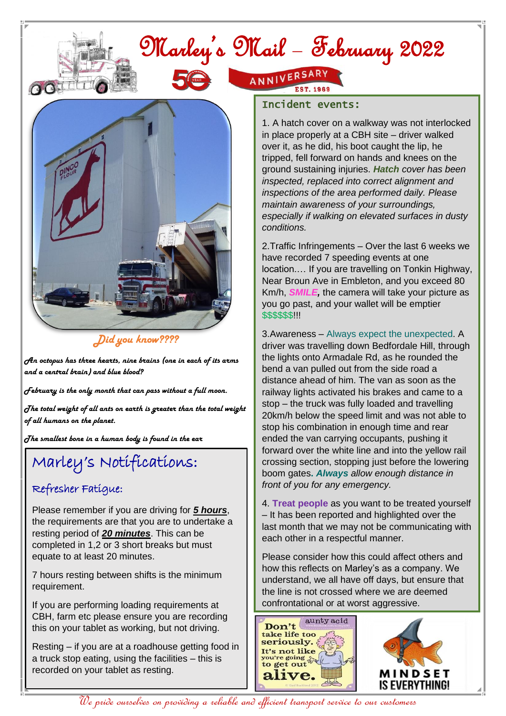# Marley's Mail – February 2022



#### *Did you know????*

*An octopus has three hearts, nine brains (one in each of its arms and a central brain) and blue blood?*

*February is the only month that can pass without a full moon.*

*The total weight of all ants on earth is greater than the total weight of all humans on the planet.*

*The smallest bone in a human body is found in the ear*

## Marley's Notifications:

#### Refresher Fatigue:

Please remember if you are driving for *5 hours*, the requirements are that you are to undertake a resting period of *20 minutes*. This can be completed in 1,2 or 3 short breaks but must equate to at least 20 minutes.

7 hours resting between shifts is the minimum requirement.

 CBH, farm etc please ensure you are recording If you are performing loading requirements at this on your tablet as working, but not driving.

Resting – if you are at a roadhouse getting food in a truck stop eating, using the facilities – this is recorded on your tablet as resting.

## ANNIVERSARY

#### Incident events:

1. A hatch cover on a walkway was not interlocked in place properly at a CBH site – driver walked over it, as he did, his boot caught the lip, he tripped, fell forward on hands and knees on the ground sustaining injuries. *Hatch cover has been inspected, replaced into correct alignment and inspections of the area performed daily. Please maintain awareness of your surroundings, especially if walking on elevated surfaces in dusty conditions.* 

2.Traffic Infringements – Over the last 6 weeks we have recorded 7 speeding events at one location.… If you are travelling on Tonkin Highway, Near Broun Ave in Embleton, and you exceed 80 Km/h, *SMILE,* the camera will take your picture as you go past, and your wallet will be emptier \$\$\$\$\$\$!!!

3.Awareness – Always expect the unexpected. A driver was travelling down Bedfordale Hill, through the lights onto Armadale Rd, as he rounded the bend a van pulled out from the side road a distance ahead of him. The van as soon as the railway lights activated his brakes and came to a stop – the truck was fully loaded and travelling 20km/h below the speed limit and was not able to stop his combination in enough time and rear ended the van carrying occupants, pushing it forward over the white line and into the yellow rail crossing section, stopping just before the lowering boom gates**.** *Always allow enough distance in front of you for any emergency.*

4. **Treat people** as you want to be treated yourself – It has been reported and highlighted over the last month that we may not be communicating with each other in a respectful manner.

Please consider how this could affect others and how this reflects on Marley's as a company. We understand, we all have off days, but ensure that the line is not crossed where we are deemed confrontational or at worst aggressive.



We pride ourselves on providing a reliable and efficient transport service to our customers